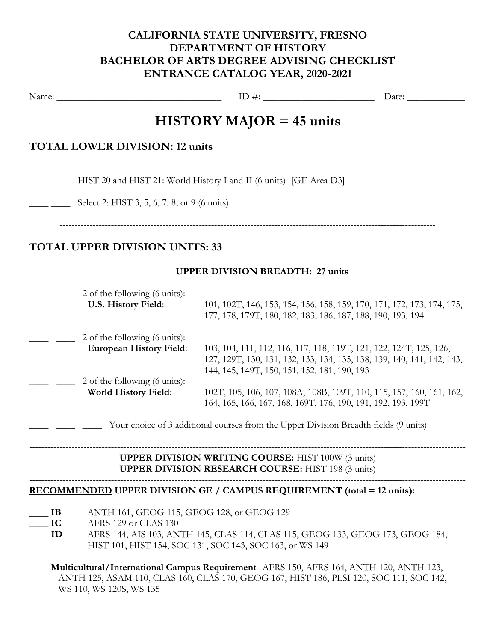# CALIFORNIA STATE UNIVERSITY, FRESNO DEPARTMENT OF HISTORY BACHELOR OF ARTS DEGREE ADVISING CHECKLIST ENTRANCE CATALOG YEAR, 2020-2021

Name: \_\_\_\_\_\_\_\_\_\_\_\_\_\_\_\_\_\_\_\_\_\_\_\_\_\_\_\_\_\_\_\_\_\_ ID #: \_\_\_\_\_\_\_\_\_\_\_\_\_\_\_\_\_\_\_\_\_\_\_ Date: \_\_\_\_\_\_\_\_\_\_\_\_

# HISTORY MAJOR = 45 units

## TOTAL LOWER DIVISION: 12 units

\_\_\_\_ \_\_\_\_ HIST 20 and HIST 21: World History I and II (6 units) [GE Area D3]

Select 2: HIST 3, 5, 6, 7, 8, or 9 (6 units)

----------------------------------------------------------------------------------------------------------------------------

# TOTAL UPPER DIVISION UNITS: 33

## UPPER DIVISION BREADTH: 27 units

| 2 of the following (6 units):<br>U.S. History Field: | 101, 102T, 146, 153, 154, 156, 158, 159, 170, 171, 172, 173, 174, 175,<br>177, 178, 179T, 180, 182, 183, 186, 187, 188, 190, 193, 194 |
|------------------------------------------------------|---------------------------------------------------------------------------------------------------------------------------------------|
| 2 of the following (6 units):                        |                                                                                                                                       |
| <b>European History Field:</b>                       | 103, 104, 111, 112, 116, 117, 118, 119T, 121, 122, 124T, 125, 126,                                                                    |
|                                                      | 127, 129T, 130, 131, 132, 133, 134, 135, 138, 139, 140, 141, 142, 143,                                                                |
|                                                      | 144, 145, 149T, 150, 151, 152, 181, 190, 193                                                                                          |
| 2 of the following (6 units):                        |                                                                                                                                       |
| World History Field:                                 | 102T, 105, 106, 107, 108A, 108B, 109T, 110, 115, 157, 160, 161, 162,                                                                  |
|                                                      | 164, 165, 166, 167, 168, 169T, 176, 190, 191, 192, 193, 199T                                                                          |
|                                                      |                                                                                                                                       |

Your choice of 3 additional courses from the Upper Division Breadth fields (9 units)

#### ------------------------------------------------------------------------------------------------------------------------------------------------ UPPER DIVISION WRITING COURSE: HIST 100W (3 units) UPPER DIVISION RESEARCH COURSE: HIST 198 (3 units)

------------------------------------------------------------------------------------------------------------------------------------------------

### RECOMMENDED UPPER DIVISION GE / CAMPUS REQUIREMENT (total = 12 units):

- \_\_\_\_ IB ANTH 161, GEOG 115, GEOG 128, or GEOG 129
- **IC** AFRS 129 or CLAS 130
- \_\_\_\_ ID AFRS 144, AIS 103, ANTH 145, CLAS 114, CLAS 115, GEOG 133, GEOG 173, GEOG 184, HIST 101, HIST 154, SOC 131, SOC 143, SOC 163, or WS 149
- \_\_\_\_ Multicultural/International Campus Requirement AFRS 150, AFRS 164, ANTH 120, ANTH 123, ANTH 125, ASAM 110, CLAS 160, CLAS 170, GEOG 167, HIST 186, PLSI 120, SOC 111, SOC 142, WS 110, WS 120S, WS 135